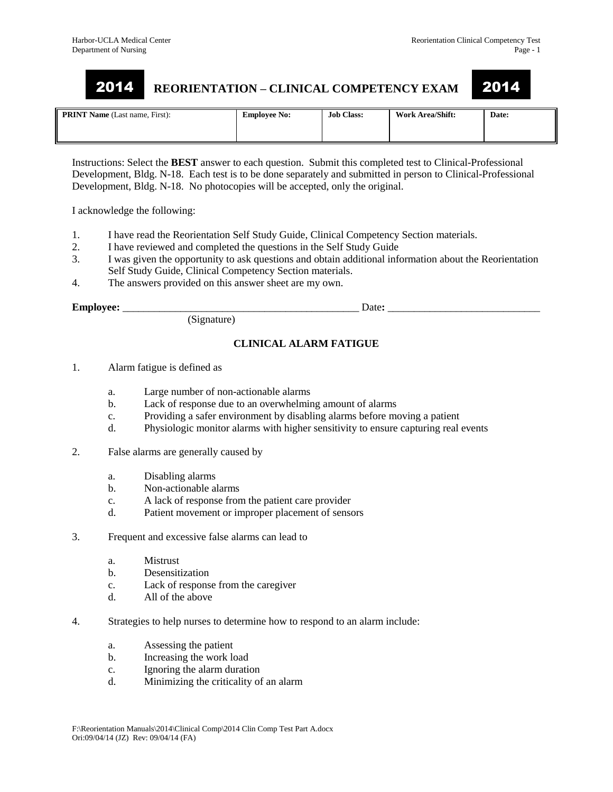# **REORIENTATION – CLINICAL COMPETENCY EXAM** 2014 2014

| <b>PRINT Name</b> (Last name, First): | <b>Employee No:</b> | <b>Job Class:</b> | <b>Work Area/Shift:</b> | Date: |
|---------------------------------------|---------------------|-------------------|-------------------------|-------|
|                                       |                     |                   |                         |       |

Instructions: Select the **BEST** answer to each question. Submit this completed test to Clinical-Professional Development, Bldg. N-18. Each test is to be done separately and submitted in person to Clinical-Professional Development, Bldg. N-18. No photocopies will be accepted, only the original.

I acknowledge the following:

- 1. I have read the Reorientation Self Study Guide, Clinical Competency Section materials.
- 2. I have reviewed and completed the questions in the Self Study Guide
- 3. I was given the opportunity to ask questions and obtain additional information about the Reorientation Self Study Guide, Clinical Competency Section materials.
- 4. The answers provided on this answer sheet are my own.

(Signature)

**Employee:** \_\_\_\_\_\_\_\_\_\_\_\_\_\_\_\_\_\_\_\_\_\_\_\_\_\_\_\_\_\_\_\_\_\_\_\_\_\_\_\_\_\_\_\_\_ Date**:** \_\_\_\_\_\_\_\_\_\_\_\_\_\_\_\_\_\_\_\_\_\_\_\_\_\_\_\_\_

## **CLINICAL ALARM FATIGUE**

- 1. Alarm fatigue is defined as
	- a. Large number of non-actionable alarms
	- b. Lack of response due to an overwhelming amount of alarms
	- c. Providing a safer environment by disabling alarms before moving a patient
	- d. Physiologic monitor alarms with higher sensitivity to ensure capturing real events
- 2. False alarms are generally caused by
	- a. Disabling alarms
	- b. Non-actionable alarms
	- c. A lack of response from the patient care provider
	- d. Patient movement or improper placement of sensors
- 3. Frequent and excessive false alarms can lead to
	- a. Mistrust
	- b. Desensitization
	- c. Lack of response from the caregiver
	- d. All of the above
- 4. Strategies to help nurses to determine how to respond to an alarm include:
	- a. Assessing the patient
	- b. Increasing the work load
	- c. Ignoring the alarm duration
	- d. Minimizing the criticality of an alarm